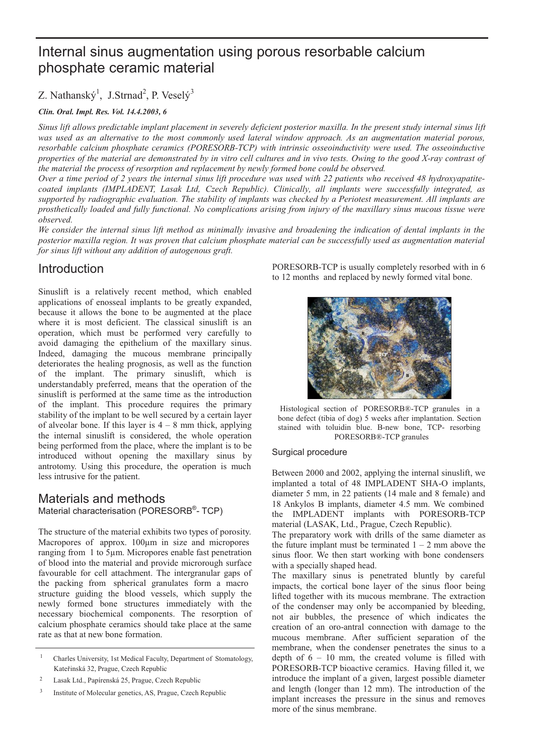# Internal sinus augmentation using porous resorbable calcium phosphate ceramic material

# Z. Nathanský<sup>1</sup>, J.Strnad<sup>2</sup>, P. Veselý<sup>3</sup>

#### *Clin. Oral. Impl. Res. Vol. 14.4.2003, 6*

*Sinus lift allows predictable implant placement in severely deficient posterior maxilla. In the present study internal sinus lift was used as an alternative to the most commonly used lateral window approach. As an augmentation material porous, resorbable calcium phosphate ceramics (PORESORB-TCP) with intrinsic osseoinductivity were used. The osseoinductive properties of the material are demonstrated by in vitro cell cultures and in vivo tests. Owing to the good X-ray contrast of the material the process of resorption and replacement by newly formed bone could be observed.*

*Over a time period of 2 years the internal sinus lift procedure was used with 22 patients who received 48 hydroxyapatitecoated implants (IMPLADENT, Lasak Ltd, Czech Republic). Clinically, all implants were successfully integrated, as supported by radiographic evaluation. The stability of implants was checked by a Periotest measurement. All implants are prosthetically loaded and fully functional. No complications arising from injury of the maxillary sinus mucous tissue were observed.*

*We consider the internal sinus lift method as minimally invasive and broadening the indication of dental implants in the posterior maxilla region. It was proven that calcium phosphate material can be successfully used as augmentation material for sinus lift without any addition of autogenous graft.*

# Introduction

Sinuslift is a relatively recent method, which enabled applications of enosseal implants to be greatly expanded, because it allows the bone to be augmented at the place where it is most deficient. The classical sinuslift is an operation, which must be performed very carefully to avoid damaging the epithelium of the maxillary sinus. Indeed, damaging the mucous membrane principally deteriorates the healing prognosis, as well as the function of the implant. The primary sinuslift, which is understandably preferred, means that the operation of the sinuslift is performed at the same time as the introduction of the implant. This procedure requires the primary stability of the implant to be well secured by a certain layer of alveolar bone. If this layer is  $4 - 8$  mm thick, applying the internal sinuslift is considered, the whole operation being performed from the place, where the implant is to be introduced without opening the maxillary sinus by antrotomy. Using this procedure, the operation is much less intrusive for the patient.

#### Materials and methods Material characterisation (PORESORB<sup>®</sup>- TCP)

The structure of the material exhibits two types of porosity. Macropores of approx. 100μm in size and micropores ranging from 1 to 5μm. Micropores enable fast penetration of blood into the material and provide microrough surface favourable for cell attachment. The intergranular gaps of the packing from spherical granulates form a macro structure guiding the blood vessels, which supply the newly formed bone structures immediately with the necessary biochemical components. The resorption of calcium phosphate ceramics should take place at the same rate as that at new bone formation.

2 Lasak Ltd., Papírenská 25, Prague, Czech Republic PORESORB-TCP is usually completely resorbed with in 6 to 12 months and replaced by newly formed vital bone.



Histological section of PORESORB®-TCP granules in a bone defect (tibia of dog) 5 weeks after implantation. Section stained with toluidin blue. B-new bone, TCP- resorbing PORESORB®-TCP granules

#### Surgical procedure

Between 2000 and 2002, applying the internal sinuslift, we implanted a total of 48 IMPLADENT SHA-O implants, diameter 5 mm, in 22 patients (14 male and 8 female) and 18 Ankylos B implants, diameter 4.5 mm. We combined the IMPLADENT implants with PORESORB-TCP material (LASAK, Ltd., Prague, Czech Republic).

The preparatory work with drills of the same diameter as the future implant must be terminated  $1 - 2$  mm above the sinus floor. We then start working with bone condensers with a specially shaped head.

The maxillary sinus is penetrated bluntly by careful impacts, the cortical bone layer of the sinus floor being lifted together with its mucous membrane. The extraction of the condenser may only be accompanied by bleeding, not air bubbles, the presence of which indicates the creation of an oro-antral connection with damage to the mucous membrane. After sufficient separation of the membrane, when the condenser penetrates the sinus to a depth of  $6 - 10$  mm, the created volume is filled with PORESORB-TCP bioactive ceramics. Having filled it, we introduce the implant of a given, largest possible diameter and length (longer than 12 mm). The introduction of the implant increases the pressure in the sinus and removes more of the sinus membrane.

<sup>&</sup>lt;sup>1</sup> Charles University, 1st Medical Faculty, Department of Stomatology, Kateřinská 32, Prague, Czech Republic

<sup>3</sup> Institute of Molecular genetics, AS, Prague, Czech Republic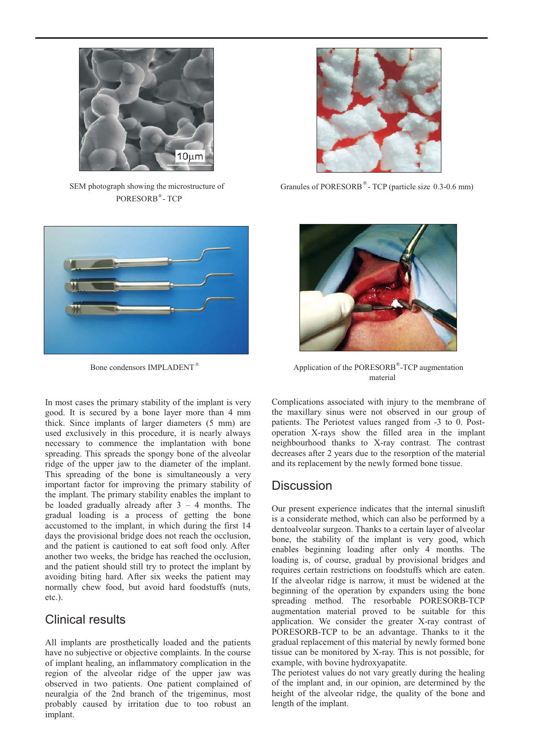

SEM photograph showing the microstructure of PORESORB®- TCP



In most cases the primary stability of the implant is very good. It is secured by a bone layer more than 4 mm thick. Since implants of larger diameters (5 mm) are used exclusively in this procedure, it is nearly always necessary to commence the implantation with bone spreading. This spreads the spongy bone of the alveolar ridge of the upper jaw to the diameter of the implant. This spreading of the bone is simultaneously a very important factor for improving the primary stability of the implant. The primary stability enables the implant to be loaded gradually already after  $3 - 4$  months. The gradual loading is a process of getting the bone accustomed to the implant, in which during the first 14 days the provisional bridge does not reach the occlusion, and the patient is cautioned to eat soft food only. After another two weeks, the bridge has reached the occlusion, and the patient should still try to protect the implant by avoiding biting hard. After six weeks the patient may normally chew food, but avoid hard foodstuffs (nuts, etc.).

# Clinical results

All implants are prosthetically loaded and the patients have no subjective or objective complaints. In the course of implant healing, an inflammatory complication in the region of the alveolar ridge of the upper jaw was observed in two patients. One patient complained of neuralgia of the 2nd branch of the trigeminus, most probably caused by irritation due to too robust an implant.



Granules of PORESORB<sup>®</sup>-TCP (particle size 0.3-0.6 mm)



Bone condensors IMPLADENT<sup>®</sup> Application of the PORESORB<sup>®</sup>-TCP augmentation material

Complications associated with injury to the membrane of the maxillary sinus were not observed in our group of patients. The Periotest values ranged from -3 to 0. Postoperation X-rays show the filled area in the implant neighbourhood thanks to X-ray contrast. The contrast decreases after 2 years due to the resorption of the material and its replacement by the newly formed bone tissue.

# **Discussion**

Our present experience indicates that the internal sinuslift is a considerate method, which can also be performed by a dentoalveolar surgeon. Thanks to a certain layer of alveolar bone, the stability of the implant is very good, which enables beginning loading after only 4 months. The loading is, of course, gradual by provisional bridges and requires certain restrictions on foodstuffs which are eaten. If the alveolar ridge is narrow, it must be widened at the beginning of the operation by expanders using the bone spreading method. The resorbable PORESORB-TCP augmentation material proved to be suitable for this application. We consider the greater X-ray contrast of PORESORB-TCP to be an advantage. Thanks to it the gradual replacement of this material by newly formed bone tissue can be monitored by X-ray. This is not possible, for example, with bovine hydroxyapatite.

The periotest values do not vary greatly during the healing of the implant and, in our opinion, are determined by the height of the alveolar ridge, the quality of the bone and length of the implant.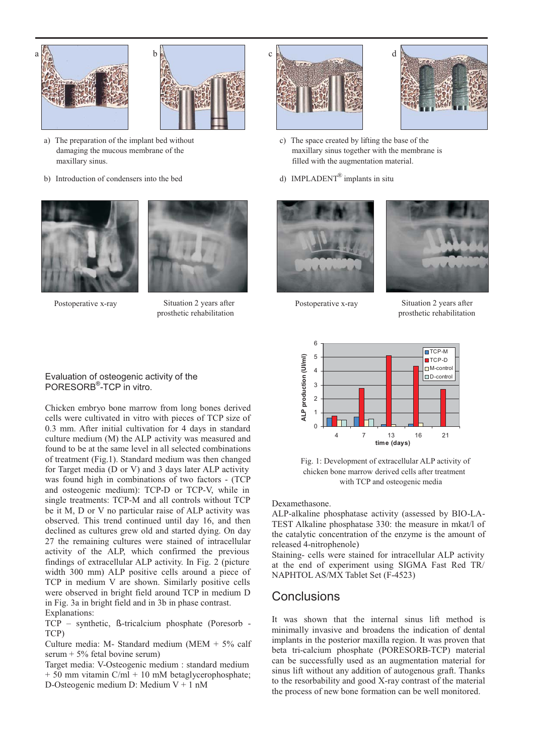



- a) The preparation of the implant bed without damaging the mucous membrane of the maxillary sinus.
- b) Introduction of condensers into the bed





Postoperative x-ray Situation 2 years after Postoperative x-ray prosthetic rehabilitation





- c) The space created by lifting the base of the maxillary sinus together with the membrane is filled with the augmentation material.
- d) IMPLADENT<sup>®</sup> implants in situ





Situation 2 years after prosthetic rehabilitation



Fig. 1: Development of extracellular ALP activity of chicken bone marrow derived cells after treatment with TCP and osteogenic media

Dexamethasone.

ALP-alkaline phosphatase activity (assessed by BIO-LA-TEST Alkaline phosphatase 330: the measure in mkat/l of the catalytic concentration of the enzyme is the amount of released 4-nitrophenole)

Staining- cells were stained for intracellular ALP activity at the end of experiment using SIGMA Fast Red TR/ NAPHTOL AS/MX Tablet Set (F-4523)

# Conclusions

It was shown that the internal sinus lift method is minimally invasive and broadens the indication of dental implants in the posterior maxilla region. It was proven that beta tri-calcium phosphate (PORESORB-TCP) material can be successfully used as an augmentation material for sinus lift without any addition of autogenous graft. Thanks to the resorbability and good X-ray contrast of the material the process of new bone formation can be well monitored.

#### Evaluation of osteogenic activity of the PORESORB®-TCP in vitro.

Chicken embryo bone marrow from long bones derived cells were cultivated in vitro with pieces of TCP size of 0.3 mm. After initial cultivation for 4 days in standard culture medium (M) the ALP activity was measured and found to be at the same level in all selected combinations of treatment (Fig.1). Standard medium was then changed for Target media (D or V) and 3 days later ALP activity was found high in combinations of two factors - (TCP and osteogenic medium): TCP-D or TCP-V, while in single treatments: TCP-M and all controls without TCP be it M, D or V no particular raise of ALP activity was observed. This trend continued until day 16, and then declined as cultures grew old and started dying. On day 27 the remaining cultures were stained of intracellular activity of the ALP, which confirmed the previous findings of extracellular ALP activity. In Fig. 2 (picture width 300 mm) ALP positive cells around a piece of TCP in medium V are shown. Similarly positive cells were observed in bright field around TCP in medium D in Fig. 3a in bright field and in 3b in phase contrast. Explanations:

TCP – synthetic, ß-tricalcium phosphate (Poresorb - TCP)

Culture media: M- Standard medium (MEM + 5% calf serum + 5% fetal bovine serum)

Target media: V-Osteogenic medium : standard medium  $+ 50$  mm vitamin C/ml  $+ 10$  mM betaglycerophosphate; D-Osteogenic medium D: Medium V + 1 nM